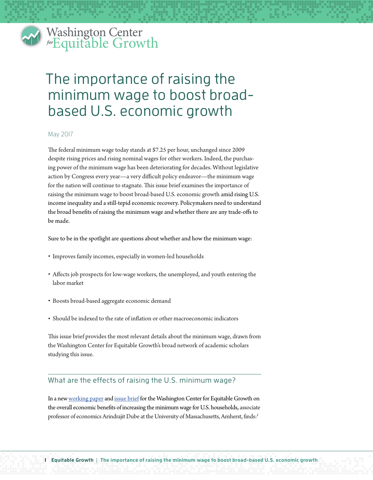#### Washington Center *for* Equitable Growth Washin  $\frac{1}{\text{for}}$   $\frac{1}{\text{for}}$   $\frac{1}{\text{for}}$

# The importance of raising the minimum wage to boost broadbased U.S. economic growth

## May 2017

The federal minimum wage today stands at \$7.25 per hour, unchanged since 2009 despite rising prices and rising nominal wages for other workers. Indeed, the purchasing power of the minimum wage has been deteriorating for decades. Without legislative action by Congress every year—a very difficult policy endeavor—the minimum wage for the nation will continue to stagnate. This issue brief examines the importance of raising the minimum wage to boost broad-based U.S. economic growth amid rising U.S. income inequality and a still-tepid economic recovery. Policymakers need to understand the broad benefits of raising the minimum wage and whether there are any trade-offs to be made.

Sure to be in the spotlight are questions about whether and how the minimum wage:

- Improves family incomes, especially in women-led households
- Affects job prospects for low-wage workers, the unemployed, and youth entering the labor market
- Boosts broad-based aggregate economic demand
- Should be indexed to the rate of inflation or other macroeconomic indicators

This issue brief provides the most relevant details about the minimum wage, drawn from the Washington Center for Equitable Growth's broad network of academic scholars studying this issue.

## What are the effects of raising the U.S. minimum wage?

In a new [working paper](http://equitablegrowth.org/working-papers/minimum-wages-and-family-incomes/) and [issue brief](http://equitablegrowth.org/research-analysis/minimum-wages-and-the-distribution-of-family-incomes-in-the-us/) for the Washington Center for Equitable Growth on the overall economic benefits of increasing the minimum wage for U.S. households, associate professor of economics Arindrajit Dube at the University of Massachusetts, Amherst, finds:<sup>1</sup>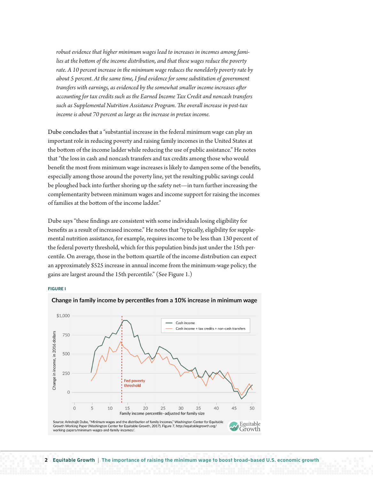*robust evidence that higher minimum wages lead to increases in incomes among families at the bottom of the income distribution, and that these wages reduce the poverty rate. A 10 percent increase in the minimum wage reduces the nonelderly poverty rate by about 5 percent. At the same time, I find evidence for some substitution of government transfers with earnings, as evidenced by the somewhat smaller income increases after accounting for tax credits such as the Earned Income Tax Credit and noncash transfers such as Supplemental Nutrition Assistance Program. The overall increase in post-tax income is about 70 percent as large as the increase in pretax income.* 

Dube concludes that a "substantial increase in the federal minimum wage can play an important role in reducing poverty and raising family incomes in the United States at the bottom of the income ladder while reducing the use of public assistance." He notes that "the loss in cash and noncash transfers and tax credits among those who would benefit the most from minimum wage increases is likely to dampen some of the benefits, especially among those around the poverty line, yet the resulting public savings could be ploughed back into further shoring up the safety net—in turn further increasing the complementarity between minimum wages and income support for raising the incomes of families at the bottom of the income ladder."

Dube says "these findings are consistent with some individuals losing eligibility for benefits as a result of increased income." He notes that "typically, eligibility for supplemental nutrition assistance, for example, requires income to be less than 130 percent of the federal poverty threshold, which for this population binds just under the 15th percentile. On average, those in the bottom quartile of the income distribution can expect an approximately \$525 increase in annual income from the minimum-wage policy; the gains are largest around the 15th percentile." (See Figure 1.)

#### **FIGURE 1**



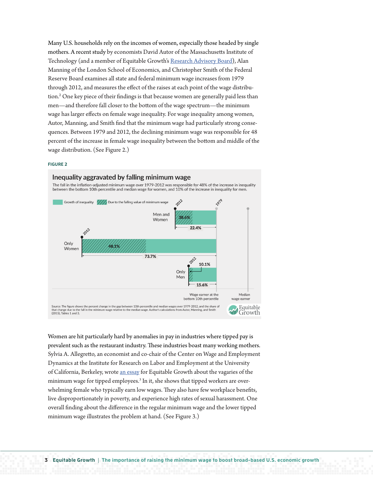Many U.S. households rely on the incomes of women, especially those headed by single mothers. A recent study by economists David Autor of the Massachusetts Institute of Technology (and a member of Equitable Growth's [Research Advisory Board\)](http://equitablegrowth.org/about/#eg-research-advisory-board), Alan Manning of the London School of Economics, and Christopher Smith of the Federal Reserve Board examines all state and federal minimum wage increases from 1979 through 2012, and measures the effect of the raises at each point of the wage distribution.2 One key piece of their findings is that because women are generally paid less than men—and therefore fall closer to the bottom of the wage spectrum—the minimum wage has larger effects on female wage inequality. For wage inequality among women, Autor, Manning, and Smith find that the minimum wage had particularly strong consequences. Between 1979 and 2012, the declining minimum wage was responsible for 48 percent of the increase in female wage inequality between the bottom and middle of the wage distribution. (See Figure 2.)

#### **FIGURE 2**



Women are hit particularly hard by anomalies in pay in industries where tipped pay is prevalent such as the restaurant industry. These industries boast many working mothers. Sylvia A. Allegretto, an economist and co-chair of the Center on Wage and Employment Dynamics at the Institute for Research on Labor and Employment at the University of California, Berkeley, wrote [an essay](http://equitablegrowth.org/labor-markets/two-and-a-half-decades/) for Equitable Growth about the vagaries of the minimum wage for tipped employees. $^3$  In it, she shows that tipped workers are overwhelming female who typically earn low wages. They also have few workplace benefits, live disproportionately in poverty, and experience high rates of sexual harassment. One overall finding about the difference in the regular minimum wage and the lower tipped minimum wage illustrates the problem at hand. (See Figure 3.)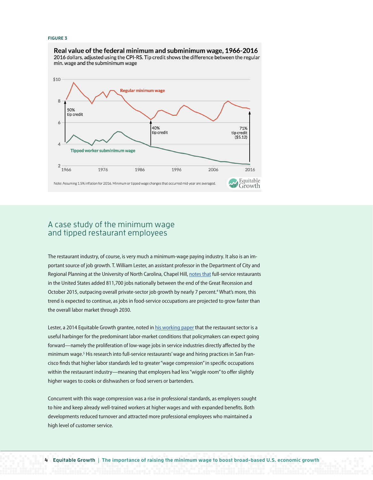#### **FIGURE 3**

Real value of the federal minimum and subminimum wage, 1966-2016 2016 dollars, adjusted using the CPI-RS. Tip credit shows the difference between the regular min. wage and the subminimum wage



## A case study of the minimum wage and tipped restaurant employees

The restaurant industry, of course, is very much a minimum-wage paying industry. It also is an important source of job growth. T. William Lester, an assistant professor in the Department of City and Regional Planning at the University of North Carolina, Chapel Hill, [notes that](http://equitablegrowth.org/research-analysis/the-consequences-of-higher-labor-standards-in-full-service-restaurants/) full-service restaurants in the United States added 811,700 jobs nationally between the end of the Great Recession and October 2015, outpacing overall private-sector job growth by nearly 7 percent.<sup>4</sup> What's more, this trend is expected to continue, as jobs in food-service occupations are projected to grow faster than the overall labor market through 2030.

Lester, a 2014 Equitable Growth grantee, noted in [his working paper](http://equitablegrowth.org/equitablog/inside-monopsony-employer-responses-higher-labor-standards-full-service-restaurant-industry/) that the restaurant sector is a useful harbinger for the predominant labor-market conditions that policymakers can expect going forward—namely the proliferation of low-wage jobs in service industries directly affected by the minimum wage.<sup>5</sup> His research into full-service restaurants' wage and hiring practices in San Francisco finds that higher labor standards led to greater "wage compression" in specific occupations within the restaurant industry—meaning that employers had less "wiggle room" to offer slightly higher wages to cooks or dishwashers or food servers or bartenders.

Concurrent with this wage compression was a rise in professional standards, as employers sought to hire and keep already well-trained workers at higher wages and with expanded benefits. Both developments reduced turnover and attracted more professional employees who maintained a high level of customer service.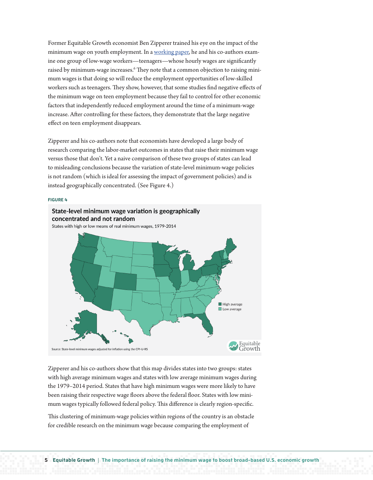Former Equitable Growth economist Ben Zipperer trained his eye on the impact of the minimum wage on youth employment. In a [working paper,](http://equitablegrowth.org/working-papers/credible-research-designs-for-minimum-wage-studies/) he and his co-authors examine one group of low-wage workers—teenagers—whose hourly wages are significantly raised by minimum-wage increases.<sup>6</sup> They note that a common objection to raising minimum wages is that doing so will reduce the employment opportunities of low-skilled workers such as teenagers. They show, however, that some studies find negative effects of the minimum wage on teen employment because they fail to control for other economic factors that independently reduced employment around the time of a minimum-wage increase. After controlling for these factors, they demonstrate that the large negative effect on teen employment disappears.

Zipperer and his co-authors note that economists have developed a large body of research comparing the labor-market outcomes in states that raise their minimum wage versus those that don't. Yet a naive comparison of these two groups of states can lead to misleading conclusions because the variation of state-level minimum-wage policies is not random (which is ideal for assessing the impact of government policies) and is instead geographically concentrated. (See Figure 4.)

#### **FIGURE 4**



Zipperer and his co-authors show that this map divides states into two groups: states with high average minimum wages and states with low average minimum wages during the 1979–2014 period. States that have high minimum wages were more likely to have been raising their respective wage floors above the federal floor. States with low minimum wages typically followed federal policy. This difference is clearly region-specific.

This clustering of minimum-wage policies within regions of the country is an obstacle for credible research on the minimum wage because comparing the employment of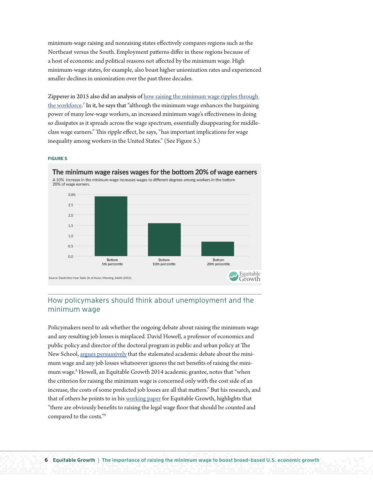minimum-wage raising and nonraising states effectively compares regions such as the Northeast versus the South. Employment patterns differ in these regions because of a host of economic and political reasons not affected by the minimum wage. High minimum-wage states, for example, also boast higher unionization rates and experienced smaller declines in unionization over the past three decades.

Zipperer in 2015 also did an analysis of how raising the minimum wage ripples through [the workforce.](http://equitablegrowth.org/research-analysis/raising-minimum-wage-ripples-workforce/)<sup>7</sup> In it, he says that "although the minimum wage enhances the bargaining power of many low-wage workers, an increased minimum wage's effectiveness in doing so dissipates as it spreads across the wage spectrum, essentially disappearing for middleclass wage earners." This ripple effect, he says, "has important implications for wage inequality among workers in the United States." (See Figure 5.)

#### **FIGURE 5**



## How policymakers should think about unemployment and the minimum wage

Policymakers need to ask whether the ongoing debate about raising the minimum wage and any resulting job losses is misplaced. David Howell, a professor of economics and public policy and director of the doctoral program in public and urban policy at The New School, [argues persuasively](http://equitablegrowth.org/research-analysis/the-misplaced-debate-about-job-loss-and-a-15-minimum-wage/) that the stalemated academic debate about the minimum wage and any job losses whatsoever ignores the net benefits of raising the minimum wage.8 Howell, an Equitable Growth 2014 academic grantee, notes that "when the criterion for raising the minimum wage is concerned only with the cost side of an increase, the costs of some predicted job losses are all that matters." But his research, and that of others he points to in his [working paper](http://equitablegrowth.org/working-papers/whats-right-minimum-wage-reframing-debate-no-job-loss-minimum-living-wage/) for Equitable Growth, highlights that "there are obviously benefits to raising the legal wage floor that should be counted and compared to the costs."9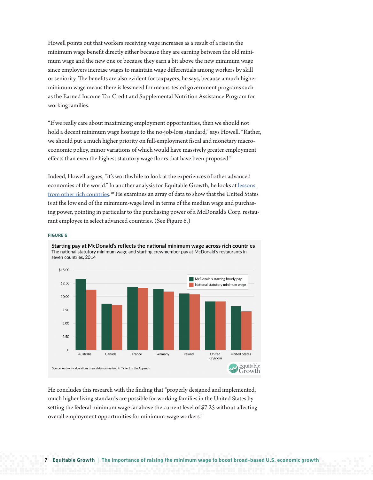Howell points out that workers receiving wage increases as a result of a rise in the minimum wage benefit directly either because they are earning between the old minimum wage and the new one or because they earn a bit above the new minimum wage since employers increase wages to maintain wage differentials among workers by skill or seniority. The benefits are also evident for taxpayers, he says, because a much higher minimum wage means there is less need for means-tested government programs such as the Earned Income Tax Credit and Supplemental Nutrition Assistance Program for working families.

"If we really care about maximizing employment opportunities, then we should not hold a decent minimum wage hostage to the no-job-loss standard," says Howell. "Rather, we should put a much higher priority on full-employment fiscal and monetary macroeconomic policy, minor variations of which would have massively greater employment effects than even the highest statutory wage floors that have been proposed."

Indeed, Howell argues, "it's worthwhile to look at the experiences of other advanced economies of the world." In another analysis for Equitable Growth, he looks at [lessons](http://equitablegrowth.org/research-analysis/the-employment-effects-of-a-much-higher-u-s-federal-minimum-wage-lessons-from-other-rich-countries/)  [from other rich countries](http://equitablegrowth.org/research-analysis/the-employment-effects-of-a-much-higher-u-s-federal-minimum-wage-lessons-from-other-rich-countries/).<sup>10</sup> He examines an array of data to show that the United States is at the low end of the minimum-wage level in terms of the median wage and purchasing power, pointing in particular to the purchasing power of a McDonald's Corp. restaurant employee in select advanced countries. (See Figure 6.)

#### **FIGURE 6**



Starting pay at McDonald's reflects the national minimum wage across rich countries The national statutory minimum wage and starting crewmember pay at McDonald's restaurants in seven countries, 2014

He concludes this research with the finding that "properly designed and implemented, much higher living standards are possible for working families in the United States by setting the federal minimum wage far above the current level of \$7.25 without affecting overall employment opportunities for minimum-wage workers."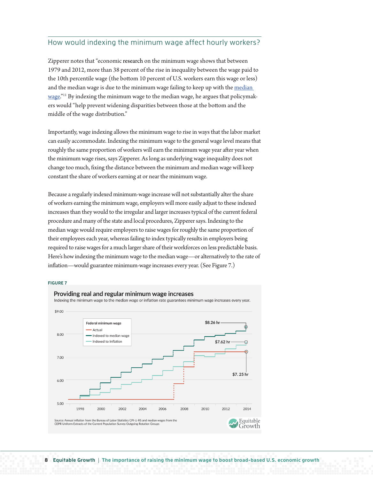## How would indexing the minimum wage affect hourly workers?

Zipperer notes that "economic research on the minimum wage shows that between 1979 and 2012, more than 38 percent of the rise in inequality between the wage paid to the 10th percentile wage (the bottom 10 percent of U.S. workers earn this wage or less) and the [median](http://equitablegrowth.org/research-analysis/raising-minimum-wage-ripples-workforce/) wage is due to the minimum wage failing to keep up with the median [wage](http://equitablegrowth.org/research-analysis/raising-minimum-wage-ripples-workforce/)."<sup>11</sup> By indexing the minimum wage to the median wage, he argues that policymakers would "help prevent widening disparities between those at the bottom and the middle of the wage distribution."

Importantly, wage indexing allows the minimum wage to rise in ways that the labor market can easily accommodate. Indexing the minimum wage to the general wage level means that roughly the same proportion of workers will earn the minimum wage year after year when the minimum wage rises, says Zipperer. As long as underlying wage inequality does not change too much, fixing the distance between the minimum and median wage will keep constant the share of workers earning at or near the minimum wage.

Because a regularly indexed minimum-wage increase will not substantially alter the share of workers earning the minimum wage, employers will more easily adjust to these indexed increases than they would to the irregular and larger increases typical of the current federal procedure and many of the state and local procedures, Zipperer says. Indexing to the median wage would require employers to raise wages for roughly the same proportion of their employees each year, whereas failing to index typically results in employers being required to raise wages for a much larger share of their workforces on less predictable basis. Here's how indexing the minimum wage to the median wage—or alternatively to the rate of inflation—would guarantee minimum-wage increases every year. (See Figure 7.)

#### **FIGURE 7**

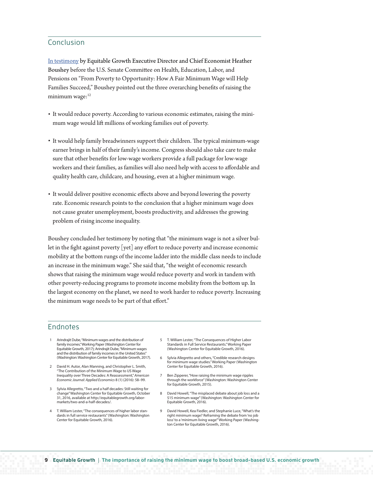## Conclusion

[In testimony](http://equitablegrowth.org/economic-stability/understanding-the-minimum-wage-and-income-inequality-and-economic-growth/) by Equitable Growth Executive Director and Chief Economist Heather Boushey before the U.S. Senate Committee on Health, Education, Labor, and Pensions on "From Poverty to Opportunity: How A Fair Minimum Wage will Help Families Succeed," Boushey pointed out the three overarching benefits of raising the minimum wage:<sup>12</sup>

- It would reduce poverty. According to various economic estimates, raising the minimum wage would lift millions of working families out of poverty.
- It would help family breadwinners support their children. The typical minimum-wage earner brings in half of their family's income. Congress should also take care to make sure that other benefits for low-wage workers provide a full package for low-wage workers and their families, as families will also need help with access to affordable and quality health care, childcare, and housing, even at a higher minimum wage.
- It would deliver positive economic effects above and beyond lowering the poverty rate. Economic research points to the conclusion that a higher minimum wage does not cause greater unemployment, boosts productivity, and addresses the growing problem of rising income inequality.

Boushey concluded her testimony by noting that "the minimum wage is not a silver bullet in the fight against poverty [yet] any effort to reduce poverty and increase economic mobility at the bottom rungs of the income ladder into the middle class needs to include an increase in the minimum wage." She said that, "the weight of economic research shows that raising the minimum wage would reduce poverty and work in tandem with other poverty-reducing programs to promote income mobility from the bottom up. In the largest economy on the planet, we need to work harder to reduce poverty. Increasing the minimum wage needs to be part of that effort."

### Endnotes

- 1 Arindrajit Dube, "Minimum wages and the distribution of family incomes." Working Paper (Washington Center for Equitable Growth, 2017); Arindrajit Dube, "Minimum wages and the distribution of family incomes in the United States" (Washington: Washington Center for Equitable Growth, 2017).
- 2 David H. Autor, Alan Manning, and Christopher L. Smith, "The Contribution of the Minimum Wage to US Wage Inequality over Three Decades: A Reassessment," *American Economic Journal: Applied Economics* 8 (1) (2016): 58–99.
- 3 Sylvia Allegretto, "Two and a half decades: Still waiting for change" Washington Center for Equitable Growth, October 31, 2016, available at http://equitablegrowth.org/labormarkets/two-and-a-half-decades/.
- 4 T. William Lester, "The consequences of higher labor standards in full service restaurants" (Washington: Washington Center for Equitable Growth, 2016).
- 5 T. William Lester, "The Consequences of Higher Labor Standards in Full Service Restaurants." Working Paper (Washington Center for Equitable Growth, 2016).
- 6 Sylvia Allegretto and others, "Credible research designs for minimum wage studies." Working Paper (Washington Center for Equitable Growth, 2016).
- 7 Ben Zipperer, "How raising the minimum wage ripples through the workforce" (Washington: Washington Center for Equitable Growth, 2015).
- 8 David Howell, "The misplaced debate about job loss and a \$15 minimum wage" (Washington: Washington Center for Equitable Growth, 2016).
- 9 David Howell, Kea Fiedler, and Stephanie Luce, "What's the right minimum wage? Reframing the debate from 'no job loss' to a 'minimum living wage'" Working Paper (Washington Center for Equitable Growth, 2016).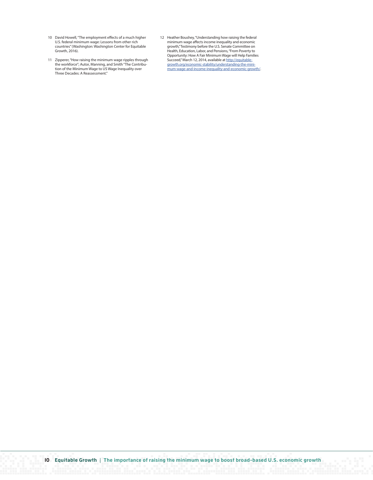- 10 David Howell, "The employment effects of a much higher U.S. federal minimum wage: Lessons from other rich countries" (Washington: Washington Center for Equitable Growth, 2016).
- 11 Zipperer, "How raising the minimum wage ripples through the workforce"; Autor, Manning, and Smith "The Contribu-tion of the Minimum Wage to US Wage Inequality over Three Decades: A Reassessment."
- 12 Heather Boushey, "Understanding how raising the federal minimum wage affects income inequality and economic growth," Testimony before the U.S. Senate Committee on Health, Education, Labor, and Pensions, "From Poverty to Opportunity: How A Fair Minimum Wage will Help Families Succeed," March 12, 2014, available at [http://equitable](http://equitablegrowth.org/economic-stability/understanding-the-minimum-wage-and-income-inequality-and-economic-growth/)[growth.org/economic-stability/understanding-the-mini](http://equitablegrowth.org/economic-stability/understanding-the-minimum-wage-and-income-inequality-and-economic-growth/)[mum-wage-and-income-inequality-and-economic-growth/.](http://equitablegrowth.org/economic-stability/understanding-the-minimum-wage-and-income-inequality-and-economic-growth/)